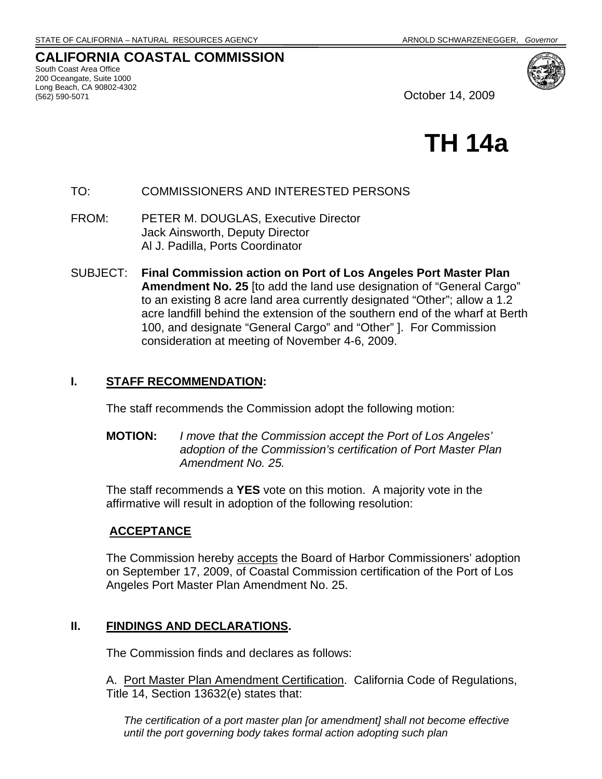# **CALIFORNIA COASTAL COMMISSION**

South Coast Area Office 200 Oceangate, Suite 1000 Long Beach, CA 90802-4302



October 14, 2009

# **TH 14a**

# TO: COMMISSIONERS AND INTERESTED PERSONS

FROM: PETER M. DOUGLAS, Executive Director Jack Ainsworth, Deputy Director Al J. Padilla, Ports Coordinator

SUBJECT: **Final Commission action on Port of Los Angeles Port Master Plan Amendment No. 25** [to add the land use designation of "General Cargo" to an existing 8 acre land area currently designated "Other"; allow a 1.2 acre landfill behind the extension of the southern end of the wharf at Berth 100, and designate "General Cargo" and "Other" ]. For Commission consideration at meeting of November 4-6, 2009.

#### **I. STAFF RECOMMENDATION:**

The staff recommends the Commission adopt the following motion:

**MOTION:** *I move that the Commission accept the Port of Los Angeles' adoption of the Commission's certification of Port Master Plan Amendment No. 25.*

The staff recommends a **YES** vote on this motion. A majority vote in the affirmative will result in adoption of the following resolution:

## **ACCEPTANCE**

The Commission hereby accepts the Board of Harbor Commissioners' adoption on September 17, 2009, of Coastal Commission certification of the Port of Los Angeles Port Master Plan Amendment No. 25.

## **II. FINDINGS AND DECLARATIONS.**

The Commission finds and declares as follows:

A. Port Master Plan Amendment Certification. California Code of Regulations, Title 14, Section 13632(e) states that:

*The certification of a port master plan [or amendment] shall not become effective until the port governing body takes formal action adopting such plan*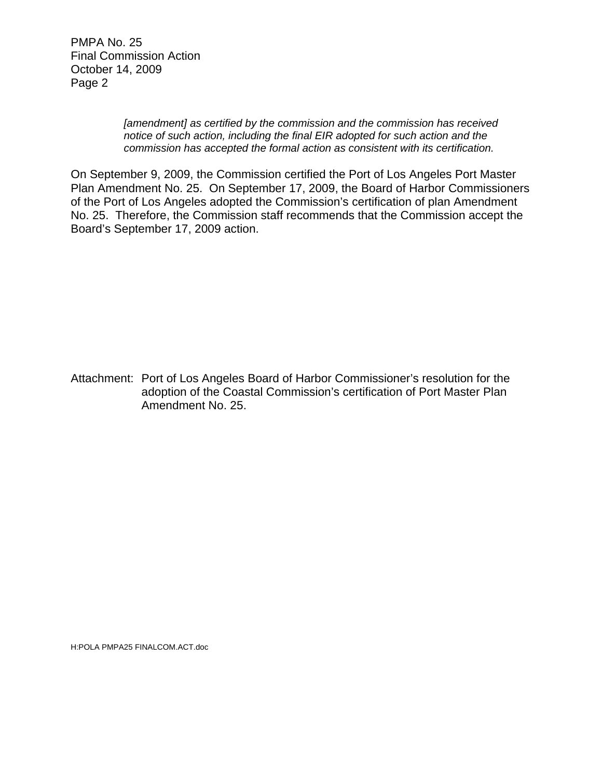PMPA No. 25 Final Commission Action October 14, 2009 Page 2

> *[amendment] as certified by the commission and the commission has received notice of such action, including the final EIR adopted for such action and the commission has accepted the formal action as consistent with its certification.*

On September 9, 2009, the Commission certified the Port of Los Angeles Port Master Plan Amendment No. 25. On September 17, 2009, the Board of Harbor Commissioners of the Port of Los Angeles adopted the Commission's certification of plan Amendment No. 25. Therefore, the Commission staff recommends that the Commission accept the Board's September 17, 2009 action.

Attachment: Port of Los Angeles Board of Harbor Commissioner's resolution for the adoption of the Coastal Commission's certification of Port Master Plan Amendment No. 25.

H:POLA PMPA25 FINALCOM.ACT.doc